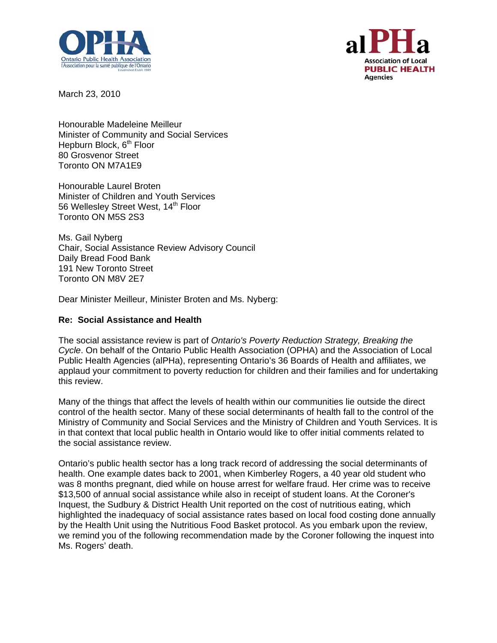



March 23, 2010

Honourable Madeleine Meilleur Minister of Community and Social Services Hepburn Block, 6<sup>th</sup> Floor 80 Grosvenor Street Toronto ON M7A1E9

Honourable Laurel Broten Minister of Children and Youth Services 56 Wellesley Street West, 14<sup>th</sup> Floor Toronto ON M5S 2S3

Ms. Gail Nyberg Chair, Social Assistance Review Advisory Council Daily Bread Food Bank 191 New Toronto Street Toronto ON M8V 2E7

Dear Minister Meilleur, Minister Broten and Ms. Nyberg:

## **Re: Social Assistance and Health**

The social assistance review is part of *Ontario's Poverty Reduction Strategy, Breaking the Cycle*. On behalf of the Ontario Public Health Association (OPHA) and the Association of Local Public Health Agencies (alPHa), representing Ontario's 36 Boards of Health and affiliates, we applaud your commitment to poverty reduction for children and their families and for undertaking this review.

Many of the things that affect the levels of health within our communities lie outside the direct control of the health sector. Many of these social determinants of health fall to the control of the Ministry of Community and Social Services and the Ministry of Children and Youth Services. It is in that context that local public health in Ontario would like to offer initial comments related to the social assistance review.

Ontario's public health sector has a long track record of addressing the social determinants of health. One example dates back to 2001, when Kimberley Rogers, a 40 year old student who was 8 months pregnant, died while on house arrest for welfare fraud. Her crime was to receive \$13,500 of annual social assistance while also in receipt of student loans. At the Coroner's Inquest, the Sudbury & District Health Unit reported on the cost of nutritious eating, which highlighted the inadequacy of social assistance rates based on local food costing done annually by the Health Unit using the Nutritious Food Basket protocol. As you embark upon the review, we remind you of the following recommendation made by the Coroner following the inquest into Ms. Rogers' death.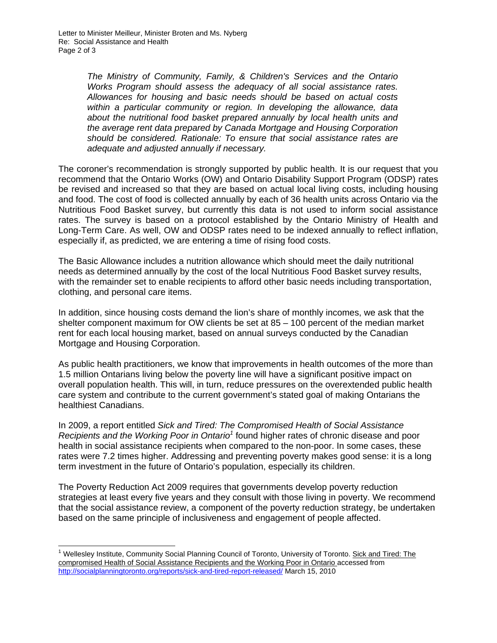*The Ministry of Community, Family, & Children's Services and the Ontario Works Program should assess the adequacy of all social assistance rates. Allowances for housing and basic needs should be based on actual costs within a particular community or region. In developing the allowance, data*  about the nutritional food basket prepared annually by local health units and *the average rent data prepared by Canada Mortgage and Housing Corporation should be considered. Rationale: To ensure that social assistance rates are adequate and adjusted annually if necessary.* 

The coroner's recommendation is strongly supported by public health. It is our request that you recommend that the Ontario Works (OW) and Ontario Disability Support Program (ODSP) rates be revised and increased so that they are based on actual local living costs, including housing and food. The cost of food is collected annually by each of 36 health units across Ontario via the Nutritious Food Basket survey, but currently this data is not used to inform social assistance rates. The survey is based on a protocol established by the Ontario Ministry of Health and Long-Term Care. As well, OW and ODSP rates need to be indexed annually to reflect inflation, especially if, as predicted, we are entering a time of rising food costs.

The Basic Allowance includes a nutrition allowance which should meet the daily nutritional needs as determined annually by the cost of the local Nutritious Food Basket survey results, with the remainder set to enable recipients to afford other basic needs including transportation, clothing, and personal care items.

In addition, since housing costs demand the lion's share of monthly incomes, we ask that the shelter component maximum for OW clients be set at 85 – 100 percent of the median market rent for each local housing market, based on annual surveys conducted by the Canadian Mortgage and Housing Corporation.

As public health practitioners, we know that improvements in health outcomes of the more than 1.5 million Ontarians living below the poverty line will have a significant positive impact on overall population health. This will, in turn, reduce pressures on the overextended public health care system and contribute to the current government's stated goal of making Ontarians the healthiest Canadians.

In 2009, a report entitled *Sick and Tired: The Compromised Health of Social Assistance Recipients and the Working Poor in Ontario1* found higher rates of chronic disease and poor health in social assistance recipients when compared to the non-poor. In some cases, these rates were 7.2 times higher. Addressing and preventing poverty makes good sense: it is a long term investment in the future of Ontario's population, especially its children.

The Poverty Reduction Act 2009 requires that governments develop poverty reduction strategies at least every five years and they consult with those living in poverty. We recommend that the social assistance review, a component of the poverty reduction strategy, be undertaken based on the same principle of inclusiveness and engagement of people affected.

 1 Wellesley Institute, Community Social Planning Council of Toronto, University of Toronto. Sick and Tired: The compromised Health of Social Assistance Recipients and the Working Poor in Ontario accessed from http://socialplanningtoronto.org/reports/sick-and-tired-report-released/ March 15, 2010